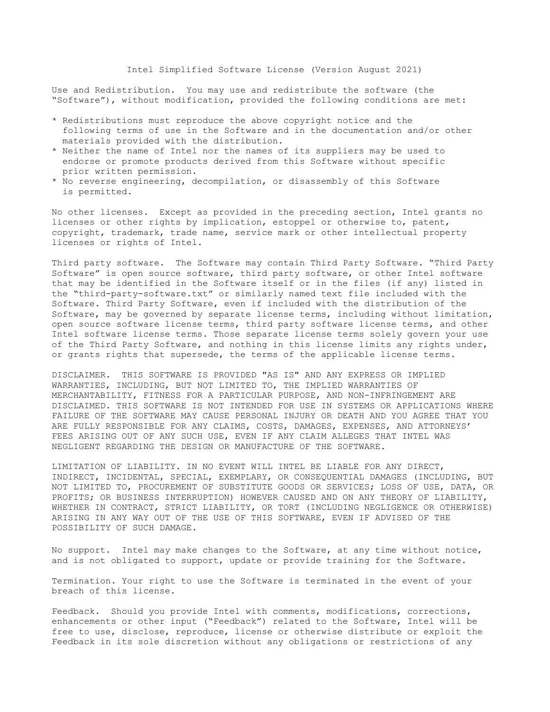Intel Simplified Software License (Version August 2021)

Use and Redistribution. You may use and redistribute the software (the "Software"), without modification, provided the following conditions are met:

- \* Redistributions must reproduce the above copyright notice and the following terms of use in the Software and in the documentation and/or other materials provided with the distribution.
- \* Neither the name of Intel nor the names of its suppliers may be used to endorse or promote products derived from this Software without specific prior written permission.
- \* No reverse engineering, decompilation, or disassembly of this Software is permitted.

No other licenses. Except as provided in the preceding section, Intel grants no licenses or other rights by implication, estoppel or otherwise to, patent, copyright, trademark, trade name, service mark or other intellectual property licenses or rights of Intel.

Third party software. The Software may contain Third Party Software. "Third Party Software" is open source software, third party software, or other Intel software that may be identified in the Software itself or in the files (if any) listed in the "third-party-software.txt" or similarly named text file included with the Software. Third Party Software, even if included with the distribution of the Software, may be governed by separate license terms, including without limitation, open source software license terms, third party software license terms, and other Intel software license terms. Those separate license terms solely govern your use of the Third Party Software, and nothing in this license limits any rights under, or grants rights that supersede, the terms of the applicable license terms.

DISCLAIMER. THIS SOFTWARE IS PROVIDED "AS IS" AND ANY EXPRESS OR IMPLIED WARRANTIES, INCLUDING, BUT NOT LIMITED TO, THE IMPLIED WARRANTIES OF MERCHANTABILITY, FITNESS FOR A PARTICULAR PURPOSE, AND NON-INFRINGEMENT ARE DISCLAIMED. THIS SOFTWARE IS NOT INTENDED FOR USE IN SYSTEMS OR APPLICATIONS WHERE FAILURE OF THE SOFTWARE MAY CAUSE PERSONAL INJURY OR DEATH AND YOU AGREE THAT YOU ARE FULLY RESPONSIBLE FOR ANY CLAIMS, COSTS, DAMAGES, EXPENSES, AND ATTORNEYS' FEES ARISING OUT OF ANY SUCH USE, EVEN IF ANY CLAIM ALLEGES THAT INTEL WAS NEGLIGENT REGARDING THE DESIGN OR MANUFACTURE OF THE SOFTWARE.

LIMITATION OF LIABILITY. IN NO EVENT WILL INTEL BE LIABLE FOR ANY DIRECT, INDIRECT, INCIDENTAL, SPECIAL, EXEMPLARY, OR CONSEQUENTIAL DAMAGES (INCLUDING, BUT NOT LIMITED TO, PROCUREMENT OF SUBSTITUTE GOODS OR SERVICES; LOSS OF USE, DATA, OR PROFITS; OR BUSINESS INTERRUPTION) HOWEVER CAUSED AND ON ANY THEORY OF LIABILITY, WHETHER IN CONTRACT, STRICT LIABILITY, OR TORT (INCLUDING NEGLIGENCE OR OTHERWISE) ARISING IN ANY WAY OUT OF THE USE OF THIS SOFTWARE, EVEN IF ADVISED OF THE POSSIBILITY OF SUCH DAMAGE.

No support. Intel may make changes to the Software, at any time without notice, and is not obligated to support, update or provide training for the Software.

Termination. Your right to use the Software is terminated in the event of your breach of this license.

Feedback. Should you provide Intel with comments, modifications, corrections, enhancements or other input ("Feedback") related to the Software, Intel will be free to use, disclose, reproduce, license or otherwise distribute or exploit the Feedback in its sole discretion without any obligations or restrictions of any